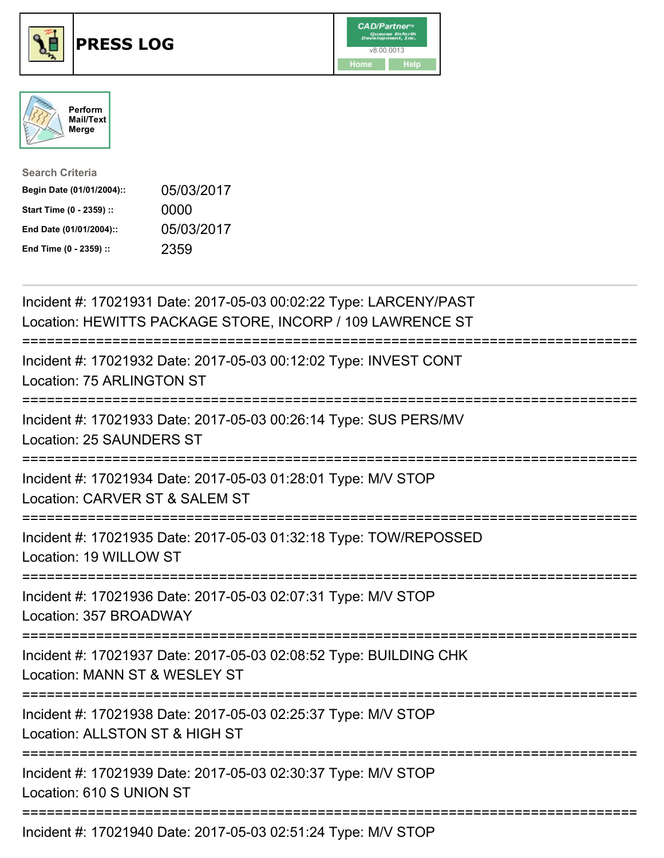





| <b>Search Criteria</b>    |            |
|---------------------------|------------|
| Begin Date (01/01/2004):: | 05/03/2017 |
| Start Time (0 - 2359) ::  | 0000       |
| End Date (01/01/2004)::   | 05/03/2017 |
| End Time (0 - 2359) ::    | 2359       |

| Incident #: 17021931 Date: 2017-05-03 00:02:22 Type: LARCENY/PAST<br>Location: HEWITTS PACKAGE STORE, INCORP / 109 LAWRENCE ST    |
|-----------------------------------------------------------------------------------------------------------------------------------|
| Incident #: 17021932 Date: 2017-05-03 00:12:02 Type: INVEST CONT<br>Location: 75 ARLINGTON ST                                     |
| Incident #: 17021933 Date: 2017-05-03 00:26:14 Type: SUS PERS/MV<br>Location: 25 SAUNDERS ST                                      |
| Incident #: 17021934 Date: 2017-05-03 01:28:01 Type: M/V STOP<br>Location: CARVER ST & SALEM ST                                   |
| Incident #: 17021935 Date: 2017-05-03 01:32:18 Type: TOW/REPOSSED<br>Location: 19 WILLOW ST<br>--------------                     |
| Incident #: 17021936 Date: 2017-05-03 02:07:31 Type: M/V STOP<br>Location: 357 BROADWAY<br>====================================== |
| Incident #: 17021937 Date: 2017-05-03 02:08:52 Type: BUILDING CHK<br>Location: MANN ST & WESLEY ST                                |
| Incident #: 17021938 Date: 2017-05-03 02:25:37 Type: M/V STOP<br>Location: ALLSTON ST & HIGH ST                                   |
| Incident #: 17021939 Date: 2017-05-03 02:30:37 Type: M/V STOP<br>Location: 610 S UNION ST                                         |
| Incident #: 17021940 Date: 2017-05-03 02:51:24 Type: M/V STOP                                                                     |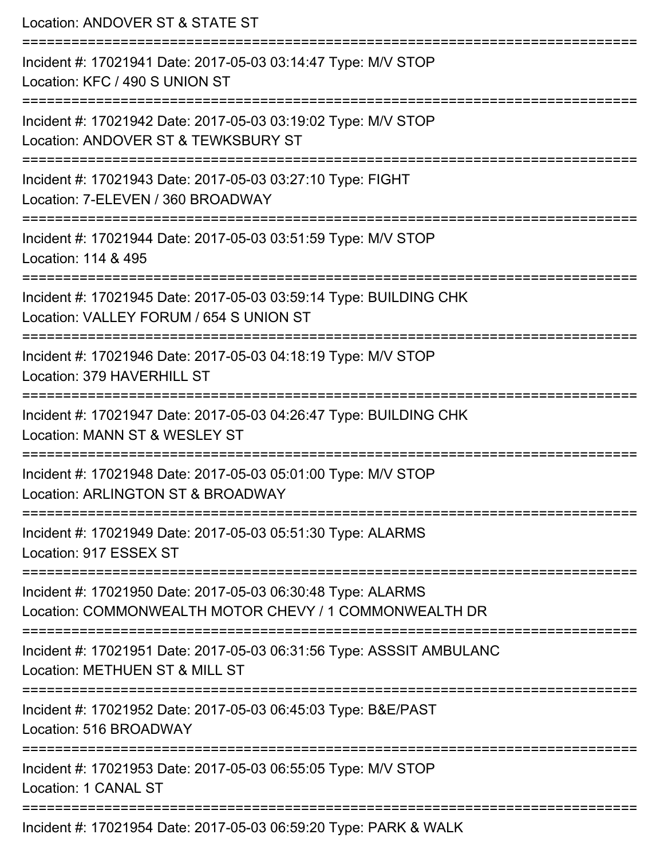| Location: ANDOVER ST & STATE ST                                                                                                                 |
|-------------------------------------------------------------------------------------------------------------------------------------------------|
| Incident #: 17021941 Date: 2017-05-03 03:14:47 Type: M/V STOP<br>Location: KFC / 490 S UNION ST<br>:================================            |
| Incident #: 17021942 Date: 2017-05-03 03:19:02 Type: M/V STOP<br>Location: ANDOVER ST & TEWKSBURY ST                                            |
| Incident #: 17021943 Date: 2017-05-03 03:27:10 Type: FIGHT<br>Location: 7-ELEVEN / 360 BROADWAY<br>=======================                      |
| Incident #: 17021944 Date: 2017-05-03 03:51:59 Type: M/V STOP<br>Location: 114 & 495                                                            |
| Incident #: 17021945 Date: 2017-05-03 03:59:14 Type: BUILDING CHK<br>Location: VALLEY FORUM / 654 S UNION ST<br>========================        |
| Incident #: 17021946 Date: 2017-05-03 04:18:19 Type: M/V STOP<br>Location: 379 HAVERHILL ST                                                     |
| Incident #: 17021947 Date: 2017-05-03 04:26:47 Type: BUILDING CHK<br>Location: MANN ST & WESLEY ST                                              |
| Incident #: 17021948 Date: 2017-05-03 05:01:00 Type: M/V STOP<br>Location: ARLINGTON ST & BROADWAY                                              |
| Incident #: 17021949 Date: 2017-05-03 05:51:30 Type: ALARMS<br>Location: 917 ESSEX ST                                                           |
| ======================<br>Incident #: 17021950 Date: 2017-05-03 06:30:48 Type: ALARMS<br>Location: COMMONWEALTH MOTOR CHEVY / 1 COMMONWEALTH DR |
| Incident #: 17021951 Date: 2017-05-03 06:31:56 Type: ASSSIT AMBULANC<br>Location: METHUEN ST & MILL ST                                          |
| Incident #: 17021952 Date: 2017-05-03 06:45:03 Type: B&E/PAST<br>Location: 516 BROADWAY                                                         |
| Incident #: 17021953 Date: 2017-05-03 06:55:05 Type: M/V STOP<br>Location: 1 CANAL ST                                                           |
| ==============================<br>Incident #: 17021954 Date: 2017-05-03 06:59:20 Type: PARK & WALK                                              |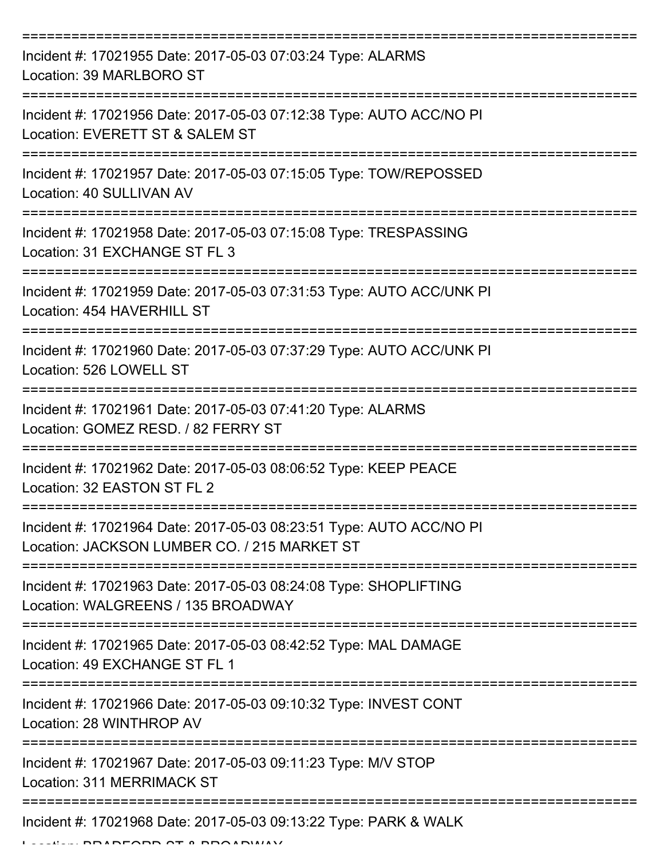| Incident #: 17021955 Date: 2017-05-03 07:03:24 Type: ALARMS<br>Location: 39 MARLBORO ST                             |
|---------------------------------------------------------------------------------------------------------------------|
| Incident #: 17021956 Date: 2017-05-03 07:12:38 Type: AUTO ACC/NO PI<br>Location: EVERETT ST & SALEM ST              |
| Incident #: 17021957 Date: 2017-05-03 07:15:05 Type: TOW/REPOSSED<br>Location: 40 SULLIVAN AV                       |
| Incident #: 17021958 Date: 2017-05-03 07:15:08 Type: TRESPASSING<br>Location: 31 EXCHANGE ST FL 3                   |
| Incident #: 17021959 Date: 2017-05-03 07:31:53 Type: AUTO ACC/UNK PI<br>Location: 454 HAVERHILL ST                  |
| Incident #: 17021960 Date: 2017-05-03 07:37:29 Type: AUTO ACC/UNK PI<br>Location: 526 LOWELL ST                     |
| Incident #: 17021961 Date: 2017-05-03 07:41:20 Type: ALARMS<br>Location: GOMEZ RESD. / 82 FERRY ST                  |
| Incident #: 17021962 Date: 2017-05-03 08:06:52 Type: KEEP PEACE<br>Location: 32 EASTON ST FL 2                      |
| Incident #: 17021964 Date: 2017-05-03 08:23:51 Type: AUTO ACC/NO PI<br>Location: JACKSON LUMBER CO. / 215 MARKET ST |
| Incident #: 17021963 Date: 2017-05-03 08:24:08 Type: SHOPLIFTING<br>Location: WALGREENS / 135 BROADWAY              |
| Incident #: 17021965 Date: 2017-05-03 08:42:52 Type: MAL DAMAGE<br>Location: 49 EXCHANGE ST FL 1                    |
| Incident #: 17021966 Date: 2017-05-03 09:10:32 Type: INVEST CONT<br>Location: 28 WINTHROP AV                        |
| Incident #: 17021967 Date: 2017-05-03 09:11:23 Type: M/V STOP<br>Location: 311 MERRIMACK ST                         |
| Incident #: 17021968 Date: 2017-05-03 09:13:22 Type: PARK & WALK                                                    |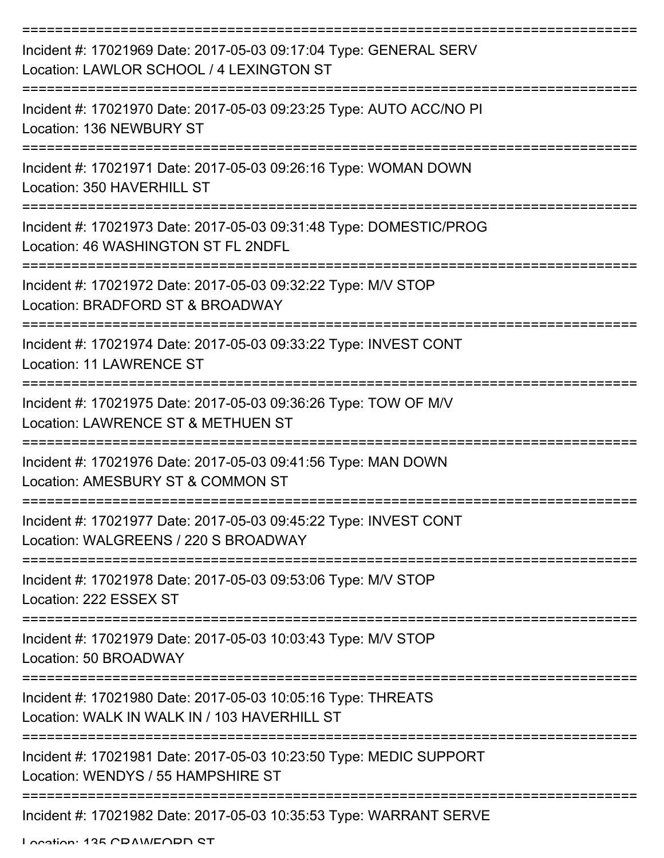| Incident #: 17021969 Date: 2017-05-03 09:17:04 Type: GENERAL SERV<br>Location: LAWLOR SCHOOL / 4 LEXINGTON ST |
|---------------------------------------------------------------------------------------------------------------|
| Incident #: 17021970 Date: 2017-05-03 09:23:25 Type: AUTO ACC/NO PI<br>Location: 136 NEWBURY ST               |
| Incident #: 17021971 Date: 2017-05-03 09:26:16 Type: WOMAN DOWN<br>Location: 350 HAVERHILL ST                 |
| Incident #: 17021973 Date: 2017-05-03 09:31:48 Type: DOMESTIC/PROG<br>Location: 46 WASHINGTON ST FL 2NDFL     |
| Incident #: 17021972 Date: 2017-05-03 09:32:22 Type: M/V STOP<br>Location: BRADFORD ST & BROADWAY             |
| Incident #: 17021974 Date: 2017-05-03 09:33:22 Type: INVEST CONT<br><b>Location: 11 LAWRENCE ST</b>           |
| Incident #: 17021975 Date: 2017-05-03 09:36:26 Type: TOW OF M/V<br>Location: LAWRENCE ST & METHUEN ST         |
| Incident #: 17021976 Date: 2017-05-03 09:41:56 Type: MAN DOWN<br>Location: AMESBURY ST & COMMON ST            |
| Incident #: 17021977 Date: 2017-05-03 09:45:22 Type: INVEST CONT<br>Location: WALGREENS / 220 S BROADWAY      |
| Incident #: 17021978 Date: 2017-05-03 09:53:06 Type: M/V STOP<br>Location: 222 ESSEX ST                       |
| Incident #: 17021979 Date: 2017-05-03 10:03:43 Type: M/V STOP<br>Location: 50 BROADWAY                        |
| Incident #: 17021980 Date: 2017-05-03 10:05:16 Type: THREATS<br>Location: WALK IN WALK IN / 103 HAVERHILL ST  |
| Incident #: 17021981 Date: 2017-05-03 10:23:50 Type: MEDIC SUPPORT<br>Location: WENDYS / 55 HAMPSHIRE ST      |
| Incident #: 17021982 Date: 2017-05-03 10:35:53 Type: WARRANT SERVE                                            |

Location: 125 CDAM/EODD CT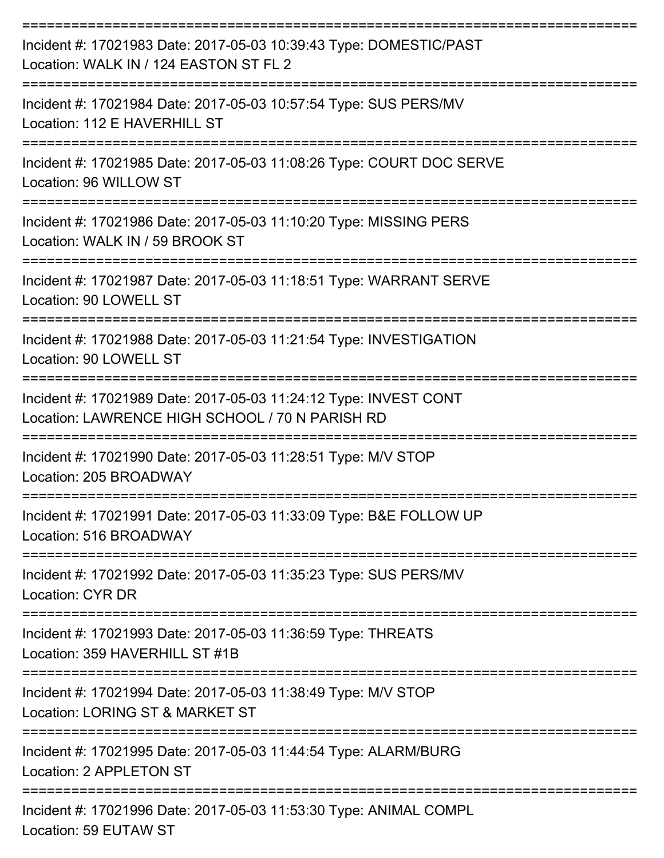| Incident #: 17021983 Date: 2017-05-03 10:39:43 Type: DOMESTIC/PAST<br>Location: WALK IN / 124 EASTON ST FL 2                              |
|-------------------------------------------------------------------------------------------------------------------------------------------|
| Incident #: 17021984 Date: 2017-05-03 10:57:54 Type: SUS PERS/MV<br>Location: 112 E HAVERHILL ST                                          |
| Incident #: 17021985 Date: 2017-05-03 11:08:26 Type: COURT DOC SERVE<br>Location: 96 WILLOW ST                                            |
| Incident #: 17021986 Date: 2017-05-03 11:10:20 Type: MISSING PERS<br>Location: WALK IN / 59 BROOK ST                                      |
| Incident #: 17021987 Date: 2017-05-03 11:18:51 Type: WARRANT SERVE<br>Location: 90 LOWELL ST                                              |
| Incident #: 17021988 Date: 2017-05-03 11:21:54 Type: INVESTIGATION<br>Location: 90 LOWELL ST                                              |
| Incident #: 17021989 Date: 2017-05-03 11:24:12 Type: INVEST CONT<br>Location: LAWRENCE HIGH SCHOOL / 70 N PARISH RD<br>------------------ |
| Incident #: 17021990 Date: 2017-05-03 11:28:51 Type: M/V STOP<br>Location: 205 BROADWAY                                                   |
| :==============================<br>Incident #: 17021991 Date: 2017-05-03 11:33:09 Type: B&E FOLLOW UP<br>Location: 516 BROADWAY           |
| =====================<br>=================<br>Incident #: 17021992 Date: 2017-05-03 11:35:23 Type: SUS PERS/MV<br>Location: CYR DR        |
| ====================<br>Incident #: 17021993 Date: 2017-05-03 11:36:59 Type: THREATS<br>Location: 359 HAVERHILL ST #1B                    |
| Incident #: 17021994 Date: 2017-05-03 11:38:49 Type: M/V STOP<br>Location: LORING ST & MARKET ST                                          |
| Incident #: 17021995 Date: 2017-05-03 11:44:54 Type: ALARM/BURG<br>Location: 2 APPLETON ST                                                |
| Incident #: 17021996 Date: 2017-05-03 11:53:30 Type: ANIMAL COMPL<br>Location: 59 EUTAW ST                                                |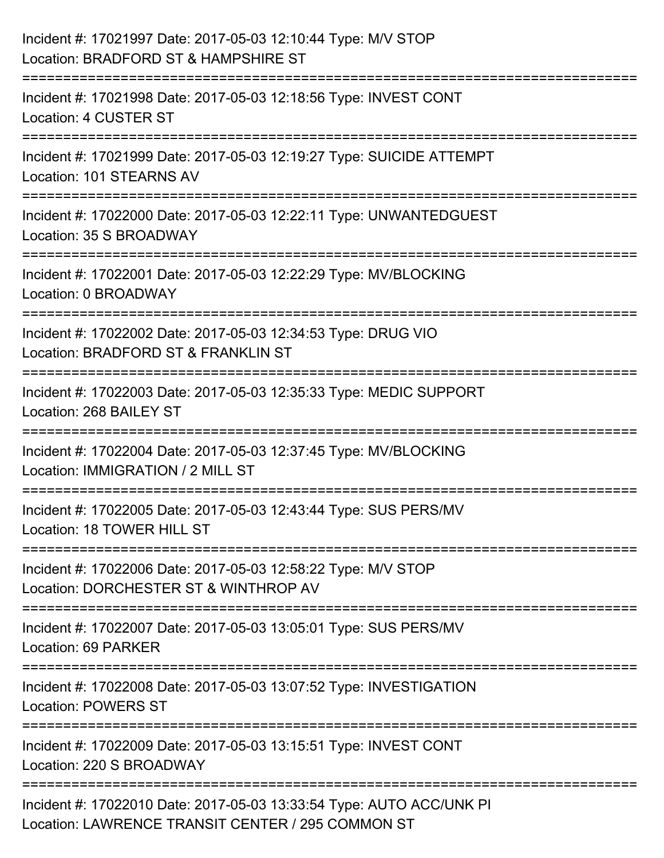| Incident #: 17021997 Date: 2017-05-03 12:10:44 Type: M/V STOP<br>Location: BRADFORD ST & HAMPSHIRE ST                              |
|------------------------------------------------------------------------------------------------------------------------------------|
| .========================<br>Incident #: 17021998 Date: 2017-05-03 12:18:56 Type: INVEST CONT<br>Location: 4 CUSTER ST             |
| Incident #: 17021999 Date: 2017-05-03 12:19:27 Type: SUICIDE ATTEMPT<br>Location: 101 STEARNS AV                                   |
| =================================<br>Incident #: 17022000 Date: 2017-05-03 12:22:11 Type: UNWANTEDGUEST<br>Location: 35 S BROADWAY |
| Incident #: 17022001 Date: 2017-05-03 12:22:29 Type: MV/BLOCKING<br>Location: 0 BROADWAY                                           |
| Incident #: 17022002 Date: 2017-05-03 12:34:53 Type: DRUG VIO<br>Location: BRADFORD ST & FRANKLIN ST                               |
| :=====================<br>Incident #: 17022003 Date: 2017-05-03 12:35:33 Type: MEDIC SUPPORT<br>Location: 268 BAILEY ST            |
| Incident #: 17022004 Date: 2017-05-03 12:37:45 Type: MV/BLOCKING<br>Location: IMMIGRATION / 2 MILL ST                              |
| Incident #: 17022005 Date: 2017-05-03 12:43:44 Type: SUS PERS/MV<br>Location: 18 TOWER HILL ST                                     |
| Incident #: 17022006 Date: 2017-05-03 12:58:22 Type: M/V STOP<br>Location: DORCHESTER ST & WINTHROP AV                             |
| Incident #: 17022007 Date: 2017-05-03 13:05:01 Type: SUS PERS/MV<br>Location: 69 PARKER                                            |
| Incident #: 17022008 Date: 2017-05-03 13:07:52 Type: INVESTIGATION<br><b>Location: POWERS ST</b>                                   |
| Incident #: 17022009 Date: 2017-05-03 13:15:51 Type: INVEST CONT<br>Location: 220 S BROADWAY                                       |
| Incident #: 17022010 Date: 2017-05-03 13:33:54 Type: AUTO ACC/UNK PI<br>Location: LAWRENCE TRANSIT CENTER / 295 COMMON ST          |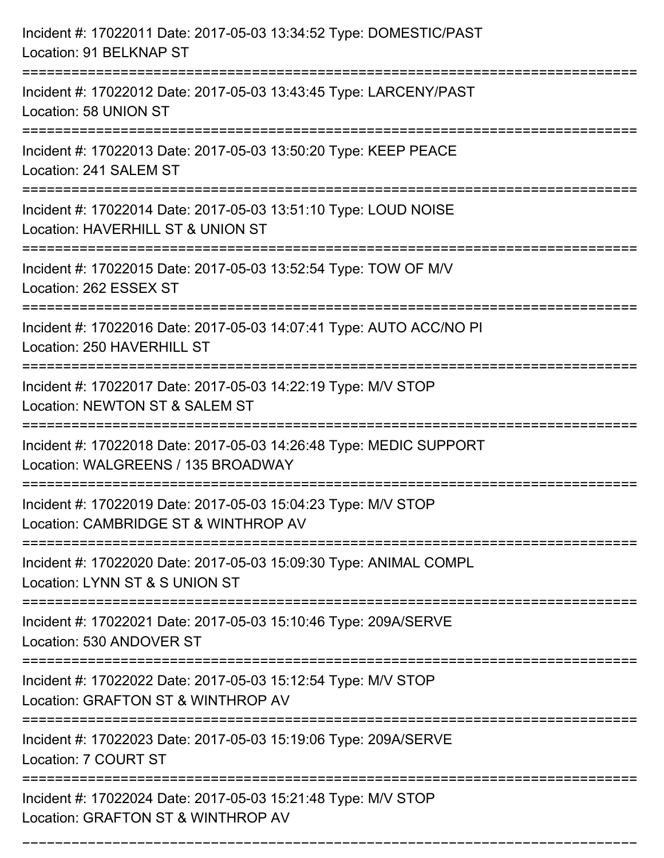| Incident #: 17022011 Date: 2017-05-03 13:34:52 Type: DOMESTIC/PAST<br>Location: 91 BELKNAP ST                                          |
|----------------------------------------------------------------------------------------------------------------------------------------|
| Incident #: 17022012 Date: 2017-05-03 13:43:45 Type: LARCENY/PAST<br>Location: 58 UNION ST                                             |
| Incident #: 17022013 Date: 2017-05-03 13:50:20 Type: KEEP PEACE<br>Location: 241 SALEM ST                                              |
| Incident #: 17022014 Date: 2017-05-03 13:51:10 Type: LOUD NOISE<br>Location: HAVERHILL ST & UNION ST                                   |
| Incident #: 17022015 Date: 2017-05-03 13:52:54 Type: TOW OF M/V<br>Location: 262 ESSEX ST                                              |
| Incident #: 17022016 Date: 2017-05-03 14:07:41 Type: AUTO ACC/NO PI<br>Location: 250 HAVERHILL ST                                      |
| Incident #: 17022017 Date: 2017-05-03 14:22:19 Type: M/V STOP<br>Location: NEWTON ST & SALEM ST                                        |
| Incident #: 17022018 Date: 2017-05-03 14:26:48 Type: MEDIC SUPPORT<br>Location: WALGREENS / 135 BROADWAY                               |
| Incident #: 17022019 Date: 2017-05-03 15:04:23 Type: M/V STOP<br>Location: CAMBRIDGE ST & WINTHROP AV                                  |
| Incident #: 17022020 Date: 2017-05-03 15:09:30 Type: ANIMAL COMPL<br>Location: LYNN ST & S UNION ST                                    |
| Incident #: 17022021 Date: 2017-05-03 15:10:46 Type: 209A/SERVE<br>Location: 530 ANDOVER ST                                            |
| Incident #: 17022022 Date: 2017-05-03 15:12:54 Type: M/V STOP<br>Location: GRAFTON ST & WINTHROP AV                                    |
| Incident #: 17022023 Date: 2017-05-03 15:19:06 Type: 209A/SERVE<br>Location: 7 COURT ST                                                |
| ===============================<br>Incident #: 17022024 Date: 2017-05-03 15:21:48 Type: M/V STOP<br>Location: GRAFTON ST & WINTHROP AV |

===========================================================================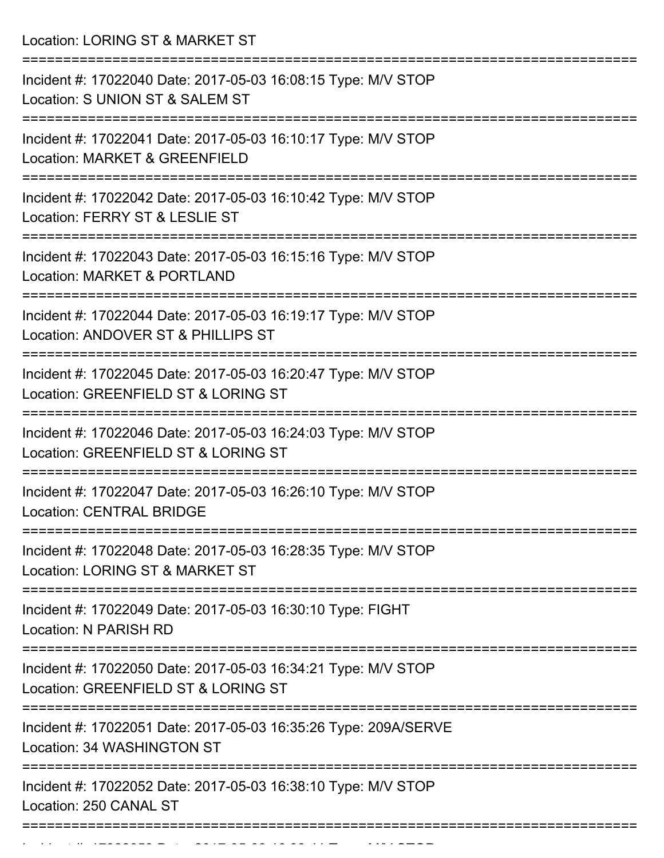Location: LORING ST & MARKET ST =========================================================================== Incident #: 17022040 Date: 2017-05-03 16:08:15 Type: M/V STOP Location: S UNION ST & SALEM ST =========================================================================== Incident #: 17022041 Date: 2017-05-03 16:10:17 Type: M/V STOP Location: MARKET & GREENFIELD =========================================================================== Incident #: 17022042 Date: 2017-05-03 16:10:42 Type: M/V STOP Location: FERRY ST & LESLIE ST =========================================================================== Incident #: 17022043 Date: 2017-05-03 16:15:16 Type: M/V STOP Location: MARKET & PORTLAND =========================================================================== Incident #: 17022044 Date: 2017-05-03 16:19:17 Type: M/V STOP Location: ANDOVER ST & PHILLIPS ST =========================================================================== Incident #: 17022045 Date: 2017-05-03 16:20:47 Type: M/V STOP Location: GREENFIELD ST & LORING ST =========================================================================== Incident #: 17022046 Date: 2017-05-03 16:24:03 Type: M/V STOP Location: GREENFIELD ST & LORING ST =========================================================================== Incident #: 17022047 Date: 2017-05-03 16:26:10 Type: M/V STOP Location: CENTRAL BRIDGE =========================================================================== Incident #: 17022048 Date: 2017-05-03 16:28:35 Type: M/V STOP Location: LORING ST & MARKET ST =========================================================================== Incident #: 17022049 Date: 2017-05-03 16:30:10 Type: FIGHT Location: N PARISH RD =========================================================================== Incident #: 17022050 Date: 2017-05-03 16:34:21 Type: M/V STOP Location: GREENFIELD ST & LORING ST =========================================================================== Incident #: 17022051 Date: 2017-05-03 16:35:26 Type: 209A/SERVE Location: 34 WASHINGTON ST =========================================================================== Incident #: 17022052 Date: 2017-05-03 16:38:10 Type: M/V STOP Location: 250 CANAL ST ===========================================================================

Incident #: 17022053 Date: 2017 05 16:38:41 Type: Microsoft.com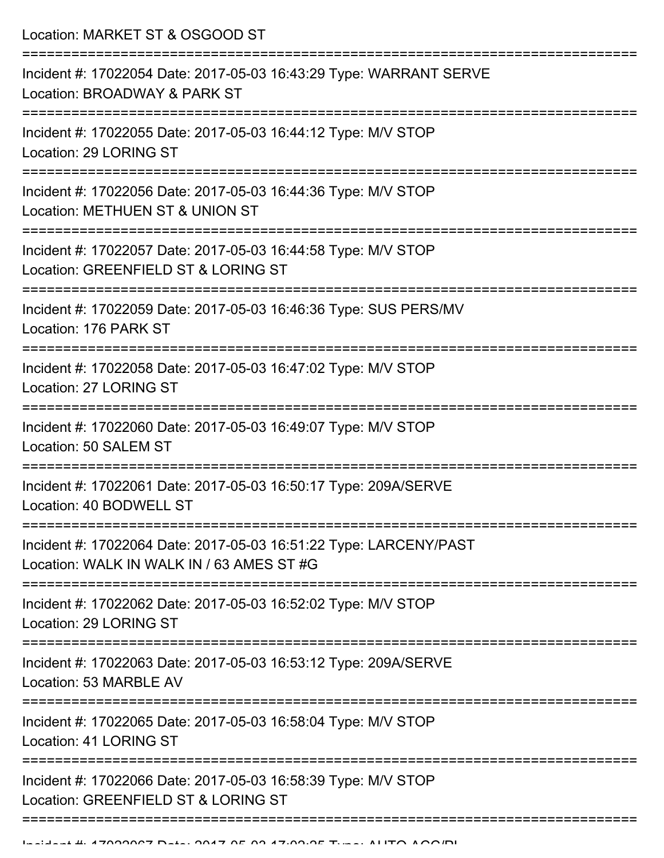Location: MARKET ST & OSGOOD ST =========================================================================== Incident #: 17022054 Date: 2017-05-03 16:43:29 Type: WARRANT SERVE Location: BROADWAY & PARK ST =========================================================================== Incident #: 17022055 Date: 2017-05-03 16:44:12 Type: M/V STOP Location: 29 LORING ST =========================================================================== Incident #: 17022056 Date: 2017-05-03 16:44:36 Type: M/V STOP Location: METHUEN ST & UNION ST =========================================================================== Incident #: 17022057 Date: 2017-05-03 16:44:58 Type: M/V STOP Location: GREENFIELD ST & LORING ST =========================================================================== Incident #: 17022059 Date: 2017-05-03 16:46:36 Type: SUS PERS/MV Location: 176 PARK ST =========================================================================== Incident #: 17022058 Date: 2017-05-03 16:47:02 Type: M/V STOP Location: 27 LORING ST =========================================================================== Incident #: 17022060 Date: 2017-05-03 16:49:07 Type: M/V STOP Location: 50 SALEM ST =========================================================================== Incident #: 17022061 Date: 2017-05-03 16:50:17 Type: 209A/SERVE Location: 40 BODWELL ST =========================================================================== Incident #: 17022064 Date: 2017-05-03 16:51:22 Type: LARCENY/PAST Location: WALK IN WALK IN / 63 AMES ST #G =========================================================================== Incident #: 17022062 Date: 2017-05-03 16:52:02 Type: M/V STOP Location: 29 LORING ST =========================================================================== Incident #: 17022063 Date: 2017-05-03 16:53:12 Type: 209A/SERVE Location: 53 MARBLE AV =========================================================================== Incident #: 17022065 Date: 2017-05-03 16:58:04 Type: M/V STOP Location: 41 LORING ST =========================================================================== Incident #: 17022066 Date: 2017-05-03 16:58:39 Type: M/V STOP Location: GREENFIELD ST & LORING ST ===========================================================================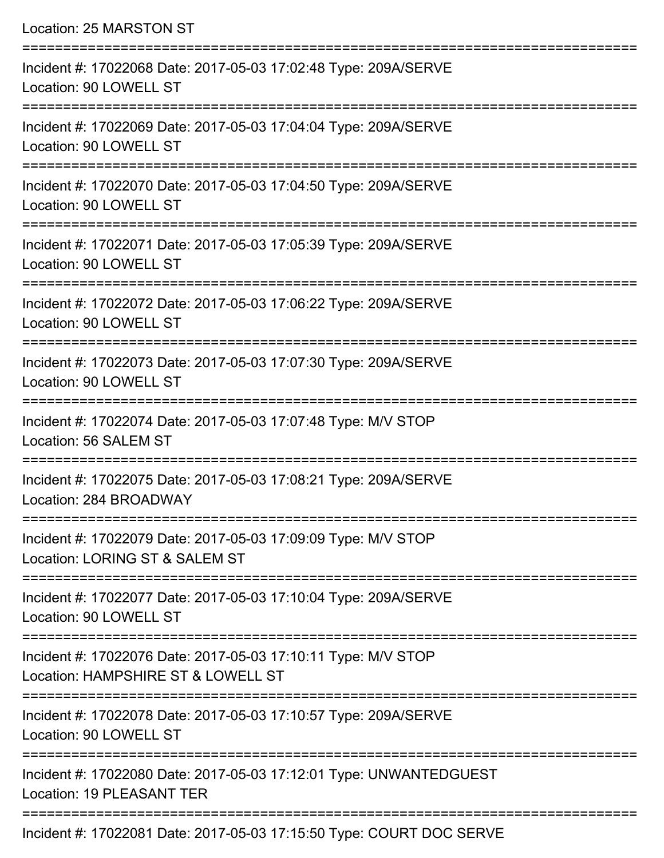| Location: 25 MARSTON ST                                                                                                           |
|-----------------------------------------------------------------------------------------------------------------------------------|
| Incident #: 17022068 Date: 2017-05-03 17:02:48 Type: 209A/SERVE<br>Location: 90 LOWELL ST<br>:=================================== |
| Incident #: 17022069 Date: 2017-05-03 17:04:04 Type: 209A/SERVE<br>Location: 90 LOWELL ST<br>=====================                |
| Incident #: 17022070 Date: 2017-05-03 17:04:50 Type: 209A/SERVE<br>Location: 90 LOWELL ST<br>===============================      |
| Incident #: 17022071 Date: 2017-05-03 17:05:39 Type: 209A/SERVE<br>Location: 90 LOWELL ST                                         |
| Incident #: 17022072 Date: 2017-05-03 17:06:22 Type: 209A/SERVE<br>Location: 90 LOWELL ST                                         |
| Incident #: 17022073 Date: 2017-05-03 17:07:30 Type: 209A/SERVE<br>Location: 90 LOWELL ST                                         |
| Incident #: 17022074 Date: 2017-05-03 17:07:48 Type: M/V STOP<br>Location: 56 SALEM ST                                            |
| Incident #: 17022075 Date: 2017-05-03 17:08:21 Type: 209A/SERVE<br>Location: 284 BROADWAY                                         |
| Incident #: 17022079 Date: 2017-05-03 17:09:09 Type: M/V STOP<br>Location: LORING ST & SALEM ST                                   |
| Incident #: 17022077 Date: 2017-05-03 17:10:04 Type: 209A/SERVE<br>Location: 90 LOWELL ST                                         |
| Incident #: 17022076 Date: 2017-05-03 17:10:11 Type: M/V STOP<br>Location: HAMPSHIRE ST & LOWELL ST                               |
| Incident #: 17022078 Date: 2017-05-03 17:10:57 Type: 209A/SERVE<br>Location: 90 LOWELL ST                                         |
| Incident #: 17022080 Date: 2017-05-03 17:12:01 Type: UNWANTEDGUEST<br><b>Location: 19 PLEASANT TER</b>                            |

Incident #: 17022081 Date: 2017-05-03 17:15:50 Type: COURT DOC SERVE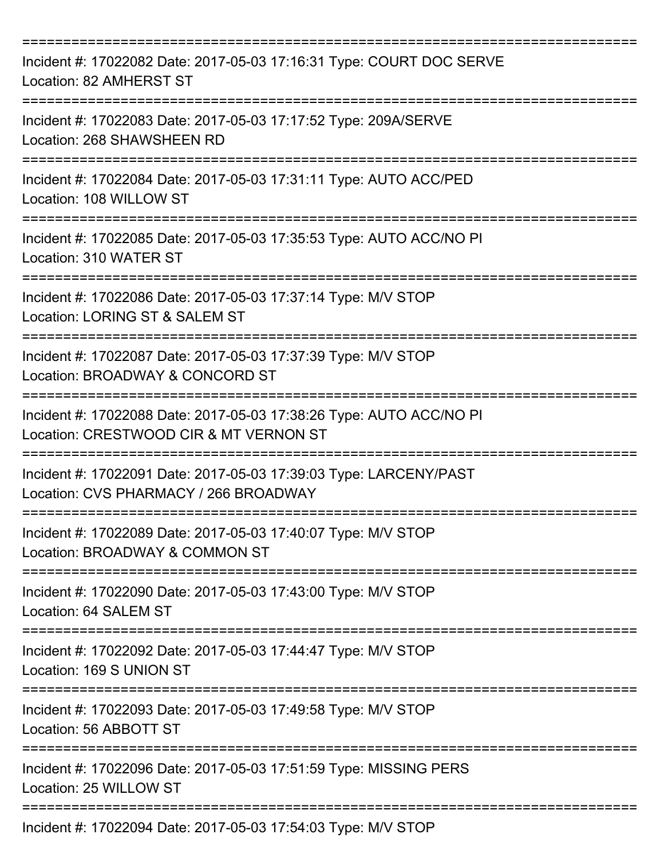| Incident #: 17022082 Date: 2017-05-03 17:16:31 Type: COURT DOC SERVE<br>Location: 82 AMHERST ST                      |
|----------------------------------------------------------------------------------------------------------------------|
| Incident #: 17022083 Date: 2017-05-03 17:17:52 Type: 209A/SERVE<br>Location: 268 SHAWSHEEN RD                        |
| Incident #: 17022084 Date: 2017-05-03 17:31:11 Type: AUTO ACC/PED<br>Location: 108 WILLOW ST                         |
| Incident #: 17022085 Date: 2017-05-03 17:35:53 Type: AUTO ACC/NO PI<br>Location: 310 WATER ST                        |
| Incident #: 17022086 Date: 2017-05-03 17:37:14 Type: M/V STOP<br>Location: LORING ST & SALEM ST                      |
| Incident #: 17022087 Date: 2017-05-03 17:37:39 Type: M/V STOP<br>Location: BROADWAY & CONCORD ST                     |
| Incident #: 17022088 Date: 2017-05-03 17:38:26 Type: AUTO ACC/NO PI<br>Location: CRESTWOOD CIR & MT VERNON ST        |
| Incident #: 17022091 Date: 2017-05-03 17:39:03 Type: LARCENY/PAST<br>Location: CVS PHARMACY / 266 BROADWAY           |
| Incident #: 17022089 Date: 2017-05-03 17:40:07 Type: M/V STOP<br>Location: BROADWAY & COMMON ST                      |
| Incident #: 17022090 Date: 2017-05-03 17:43:00 Type: M/V STOP<br>Location: 64 SALEM ST                               |
| Incident #: 17022092 Date: 2017-05-03 17:44:47 Type: M/V STOP<br>Location: 169 S UNION ST<br>======================= |
| Incident #: 17022093 Date: 2017-05-03 17:49:58 Type: M/V STOP<br>Location: 56 ABBOTT ST                              |
| Incident #: 17022096 Date: 2017-05-03 17:51:59 Type: MISSING PERS<br>Location: 25 WILLOW ST                          |
| Incident #: 17022094 Date: 2017-05-03 17:54:03 Type: M/V STOP                                                        |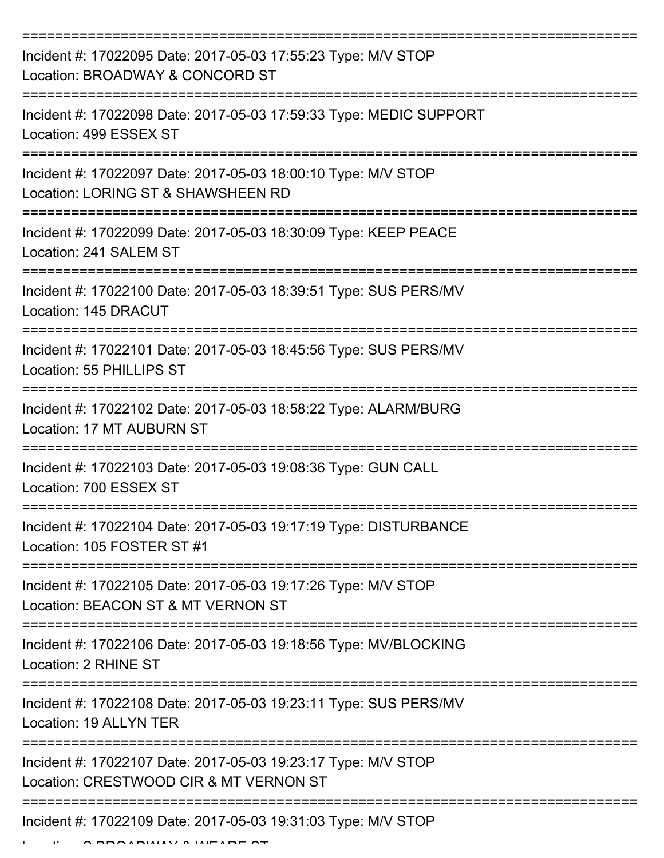| Incident #: 17022095 Date: 2017-05-03 17:55:23 Type: M/V STOP<br>Location: BROADWAY & CONCORD ST                     |
|----------------------------------------------------------------------------------------------------------------------|
| Incident #: 17022098 Date: 2017-05-03 17:59:33 Type: MEDIC SUPPORT<br>Location: 499 ESSEX ST                         |
| Incident #: 17022097 Date: 2017-05-03 18:00:10 Type: M/V STOP<br>Location: LORING ST & SHAWSHEEN RD                  |
| Incident #: 17022099 Date: 2017-05-03 18:30:09 Type: KEEP PEACE<br>Location: 241 SALEM ST                            |
| Incident #: 17022100 Date: 2017-05-03 18:39:51 Type: SUS PERS/MV<br>Location: 145 DRACUT                             |
| Incident #: 17022101 Date: 2017-05-03 18:45:56 Type: SUS PERS/MV<br>Location: 55 PHILLIPS ST                         |
| Incident #: 17022102 Date: 2017-05-03 18:58:22 Type: ALARM/BURG<br><b>Location: 17 MT AUBURN ST</b>                  |
| Incident #: 17022103 Date: 2017-05-03 19:08:36 Type: GUN CALL<br>Location: 700 ESSEX ST                              |
| Incident #: 17022104 Date: 2017-05-03 19:17:19 Type: DISTURBANCE<br>Location: 105 FOSTER ST #1                       |
| Incident #: 17022105 Date: 2017-05-03 19:17:26 Type: M/V STOP<br>Location: BEACON ST & MT VERNON ST                  |
| Incident #: 17022106 Date: 2017-05-03 19:18:56 Type: MV/BLOCKING<br>Location: 2 RHINE ST                             |
| ----------------------<br>Incident #: 17022108 Date: 2017-05-03 19:23:11 Type: SUS PERS/MV<br>Location: 19 ALLYN TER |
| Incident #: 17022107 Date: 2017-05-03 19:23:17 Type: M/V STOP<br>Location: CRESTWOOD CIR & MT VERNON ST              |
| Incident #: 17022109 Date: 2017-05-03 19:31:03 Type: M/V STOP                                                        |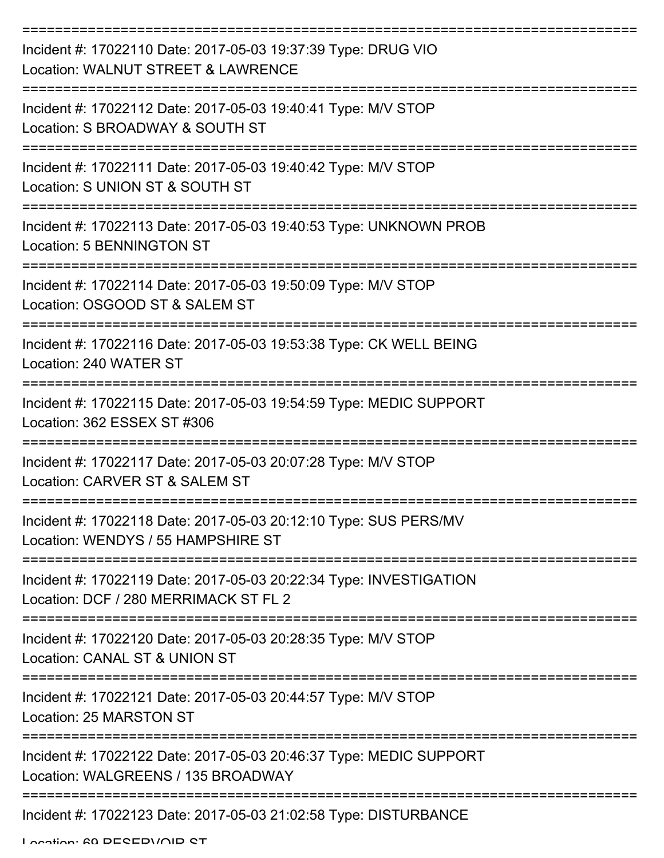| Incident #: 17022110 Date: 2017-05-03 19:37:39 Type: DRUG VIO<br>Location: WALNUT STREET & LAWRENCE              |
|------------------------------------------------------------------------------------------------------------------|
| Incident #: 17022112 Date: 2017-05-03 19:40:41 Type: M/V STOP<br>Location: S BROADWAY & SOUTH ST                 |
| Incident #: 17022111 Date: 2017-05-03 19:40:42 Type: M/V STOP<br>Location: S UNION ST & SOUTH ST                 |
| Incident #: 17022113 Date: 2017-05-03 19:40:53 Type: UNKNOWN PROB<br>Location: 5 BENNINGTON ST                   |
| Incident #: 17022114 Date: 2017-05-03 19:50:09 Type: M/V STOP<br>Location: OSGOOD ST & SALEM ST                  |
| Incident #: 17022116 Date: 2017-05-03 19:53:38 Type: CK WELL BEING<br>Location: 240 WATER ST<br>---------------- |
| Incident #: 17022115 Date: 2017-05-03 19:54:59 Type: MEDIC SUPPORT<br>Location: 362 ESSEX ST #306                |
| Incident #: 17022117 Date: 2017-05-03 20:07:28 Type: M/V STOP<br>Location: CARVER ST & SALEM ST                  |
| Incident #: 17022118 Date: 2017-05-03 20:12:10 Type: SUS PERS/MV<br>Location: WENDYS / 55 HAMPSHIRE ST           |
| Incident #: 17022119 Date: 2017-05-03 20:22:34 Type: INVESTIGATION<br>Location: DCF / 280 MERRIMACK ST FL 2      |
| Incident #: 17022120 Date: 2017-05-03 20:28:35 Type: M/V STOP<br>Location: CANAL ST & UNION ST                   |
| Incident #: 17022121 Date: 2017-05-03 20:44:57 Type: M/V STOP<br>Location: 25 MARSTON ST                         |
| Incident #: 17022122 Date: 2017-05-03 20:46:37 Type: MEDIC SUPPORT<br>Location: WALGREENS / 135 BROADWAY         |
| Incident #: 17022123 Date: 2017-05-03 21:02:58 Type: DISTURBANCE                                                 |

Location: 60 DESERVOIR ST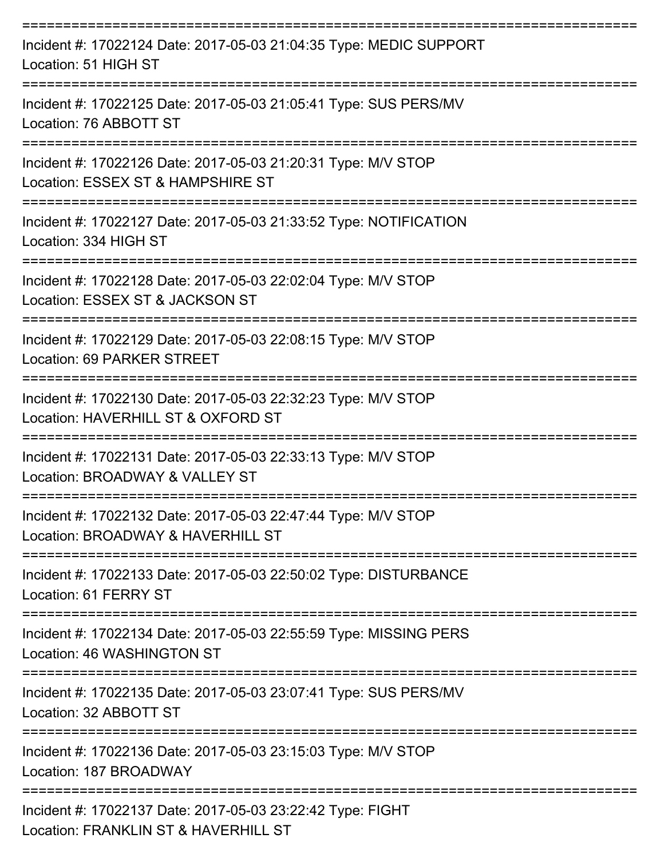| Incident #: 17022124 Date: 2017-05-03 21:04:35 Type: MEDIC SUPPORT<br>Location: 51 HIGH ST          |
|-----------------------------------------------------------------------------------------------------|
| Incident #: 17022125 Date: 2017-05-03 21:05:41 Type: SUS PERS/MV<br>Location: 76 ABBOTT ST          |
| Incident #: 17022126 Date: 2017-05-03 21:20:31 Type: M/V STOP<br>Location: ESSEX ST & HAMPSHIRE ST  |
| Incident #: 17022127 Date: 2017-05-03 21:33:52 Type: NOTIFICATION<br>Location: 334 HIGH ST          |
| Incident #: 17022128 Date: 2017-05-03 22:02:04 Type: M/V STOP<br>Location: ESSEX ST & JACKSON ST    |
| Incident #: 17022129 Date: 2017-05-03 22:08:15 Type: M/V STOP<br>Location: 69 PARKER STREET         |
| Incident #: 17022130 Date: 2017-05-03 22:32:23 Type: M/V STOP<br>Location: HAVERHILL ST & OXFORD ST |
| Incident #: 17022131 Date: 2017-05-03 22:33:13 Type: M/V STOP<br>Location: BROADWAY & VALLEY ST     |
| Incident #: 17022132 Date: 2017-05-03 22:47:44 Type: M/V STOP<br>Location: BROADWAY & HAVERHILL ST  |
| Incident #: 17022133 Date: 2017-05-03 22:50:02 Type: DISTURBANCE<br>Location: 61 FERRY ST           |
| Incident #: 17022134 Date: 2017-05-03 22:55:59 Type: MISSING PERS<br>Location: 46 WASHINGTON ST     |
| Incident #: 17022135 Date: 2017-05-03 23:07:41 Type: SUS PERS/MV<br>Location: 32 ABBOTT ST          |
| Incident #: 17022136 Date: 2017-05-03 23:15:03 Type: M/V STOP<br>Location: 187 BROADWAY             |
| Incident #: 17022137 Date: 2017-05-03 23:22:42 Type: FIGHT<br>Location: FRANKLIN ST & HAVERHILL ST  |